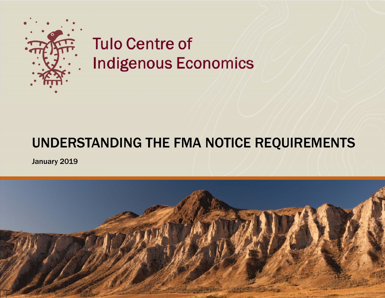

# **Tulo Centre of Indigenous Economics**

## UNDERSTANDING THE FMA NOTICE REQUIREMENTS

January 2019

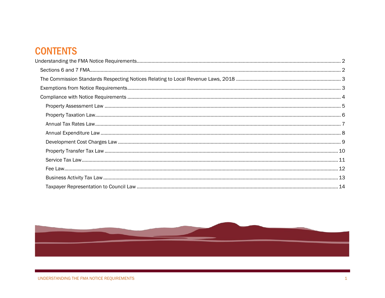#### **CONTENTS**

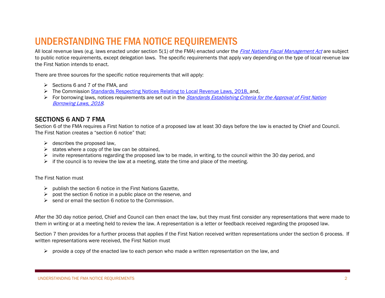### <span id="page-2-0"></span>UNDERSTANDING THE FMA NOTICE REQUIREMENTS

All local revenue laws (e.g. laws enacted under section 5(1) of the FMA) enacted under the [First Nations Fiscal Management Act](http://fntc.ca/fma/) are subject to public notice requirements, except delegation laws. The specific requirements that apply vary depending on the type of local revenue law the First Nation intends to enact.

There are three sources for the specific notice requirements that will apply:

- $\triangleright$  Sections 6 and 7 of the FMA, and
- ➢ The Commission [Standards Respecting Notices Relating to Local Revenue Laws, 2018,](http://sp.fng.ca/fntc/fntcweb/notice_stds_web.pdf) and,
- ➢ For borrowing laws, notices requirements are set out in the [Standards Establishing Criteria for the Approval of First Nation](http://sp.fng.ca/fntc/fntcweb/borrowing_approval_stds_web.pdf)  [Borrowing Laws, 2018](http://sp.fng.ca/fntc/fntcweb/borrowing_approval_stds_web.pdf).

#### <span id="page-2-1"></span>SECTIONS 6 AND 7 FMA

Section 6 of the FMA requires a First Nation to notice of a proposed law at least 30 days before the law is enacted by Chief and Council. The First Nation creates a "section 6 notice" that:

- $\triangleright$  describes the proposed law.
- $\triangleright$  states where a copy of the law can be obtained.
- $\triangleright$  invite representations regarding the proposed law to be made, in writing, to the council within the 30 day period, and
- $\triangleright$  if the council is to review the law at a meeting, state the time and place of the meeting.

#### The First Nation must

- $\triangleright$  publish the section 6 notice in the First Nations Gazette,
- $\triangleright$  post the section 6 notice in a public place on the reserve, and
- $\triangleright$  send or email the section 6 notice to the Commission.

After the 30 day notice period, Chief and Council can then enact the law, but they must first consider any representations that were made to them in writing or at a meeting held to review the law. A representation is a letter or feedback received regarding the proposed law.

Section 7 then provides for a further process that applies if the First Nation received written representations under the section 6 process. If written representations were received, the First Nation must

➢ provide a copy of the enacted law to each person who made a written representation on the law, and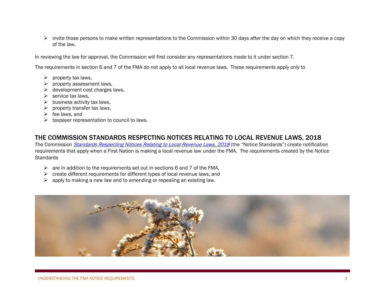➢ invite those persons to make written representations to the Commission within 30 days after the day on which they receive a copy of the law.

In reviewing the law for approval, the Commission will first consider any representations made to it under section 7.

The requirements in section 6 and 7 of the FMA do not apply to all local revenue laws. These requirements apply only to

- $\triangleright$  property tax laws.
- ➢ property assessment laws,
- $\triangleright$  development cost charges laws,
- $\triangleright$  service tax laws.
- $\triangleright$  business activity tax laws,
- $\triangleright$  property transfer tax laws,
- $\triangleright$  fee laws, and
- $\triangleright$  taxpayer representation to council to laws.

#### <span id="page-3-0"></span>THE COMMISSION STANDARDS RESPECTING NOTICES RELATING TO LOCAL REVENUE LAWS, 2018

The Commission *[Standards Respecting Notices Relating to Local Revenue Laws, 2018](http://sp.fng.ca/fntc/fntcweb/notice_stds_web.pdf)* (the "Notice Standards") create notification requirements that apply when a First Nation is making a local revenue law under the FMA. The requirements created by the Notice **Standards** 

- $\triangleright$  are in addition to the requirements set out in sections 6 and 7 of the FMA,
- $\triangleright$  create different requirements for different types of local revenue laws, and
- <span id="page-3-1"></span> $\triangleright$  apply to making a new law and to amending or repealing an existing law.

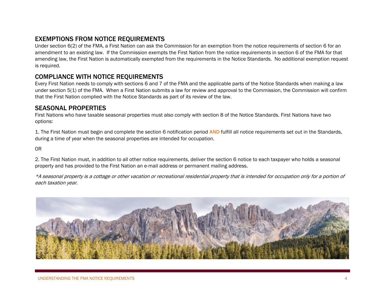#### EXEMPTIONS FROM NOTICE REQUIREMENTS

Under section 6(2) of the FMA, a First Nation can ask the Commission for an exemption from the notice requirements of section 6 for an amendment to an existing law. If the Commission exempts the First Nation from the notice requirements in section 6 of the FMA for that amending law, the First Nation is automatically exempted from the requirements in the Notice Standards. No additional exemption request is required.

#### <span id="page-4-0"></span>COMPLIANCE WITH NOTICE REQUIREMENTS

Every First Nation needs to comply with sections 6 and 7 of the FMA and the applicable parts of the Notice Standards when making a law under section 5(1) of the FMA. When a First Nation submits a law for review and approval to the Commission, the Commission will confirm that the First Nation complied with the Notice Standards as part of its review of the law.

#### SEASONAL PROPERTIES

First Nations who have taxable seasonal properties must also comply with section 8 of the Notice Standards. First Nations have two options:

1. The First Nation must begin and complete the section 6 notification period AND fulfill all notice requirements set out in the Standards, during a time of year when the seasonal properties are intended for occupation.

OR

2. The First Nation must, in addition to all other notice requirements, deliver the section 6 notice to each taxpayer who holds a seasonal property and has provided to the First Nation an e-mail address or permanent mailing address.

\*A seasonal property is a cottage or other vacation or recreational residential property that is intended for occupation only for a portion of each taxation year.

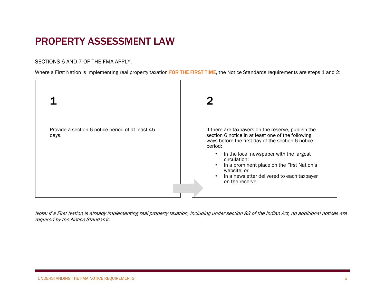### <span id="page-5-0"></span>PROPERTY ASSESSMENT LAW

SECTIONS 6 AND 7 OF THE FMA APPLY.

Where a First Nation is implementing real property taxation FOR THE FIRST TIME, the Notice Standards requirements are steps 1 and 2:



<span id="page-5-1"></span>Note: If a First Nation is already implementing real property taxation, including under section 83 of the Indian Act, no additional notices are required by the Notice Standards.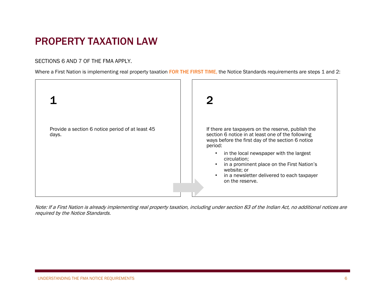### PROPERTY TAXATION LAW

SECTIONS 6 AND 7 OF THE FMA APPLY.

Where a First Nation is implementing real property taxation FOR THE FIRST TIME, the Notice Standards requirements are steps 1 and 2:



<span id="page-6-0"></span>Note: If a First Nation is already implementing real property taxation, including under section 83 of the Indian Act, no additional notices are required by the Notice Standards.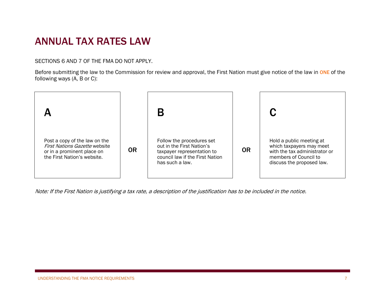### ANNUAL TAX RATES LAW

SECTIONS 6 AND 7 OF THE FMA DO NOT APPLY.

Before submitting the law to the Commission for review and approval, the First Nation must give notice of the law in ONE of the following ways (A, B or C):



Note: If the First Nation is justifying a tax rate, a description of the justification has to be included in the notice.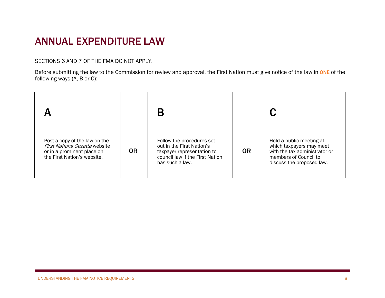### <span id="page-8-0"></span>ANNUAL EXPENDITURE LAW

SECTIONS 6 AND 7 OF THE FMA DO NOT APPLY.

Before submitting the law to the Commission for review and approval, the First Nation must give notice of the law in ONE of the following ways (A, B or C):

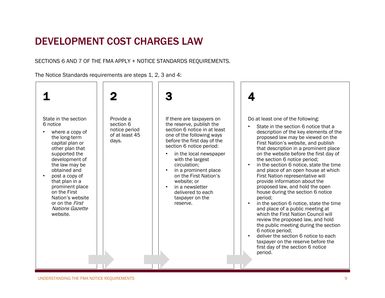### <span id="page-9-0"></span>DEVELOPMENT COST CHARGES LAW

SECTIONS 6 AND 7 OF THE FMA APPLY + NOTICE STANDARDS REQUIREMENTS.

The Notice Standards requirements are steps 1, 2, 3 and 4:

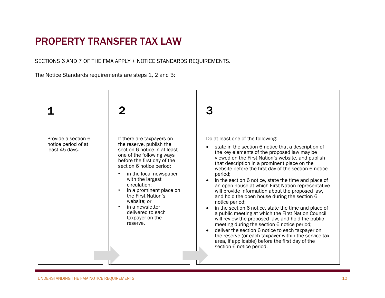#### <span id="page-10-0"></span>PROPERTY TRANSFER TAX LAW

SECTIONS 6 AND 7 OF THE FMA APPLY + NOTICE STANDARDS REQUIREMENTS.

The Notice Standards requirements are steps 1, 2 and 3:

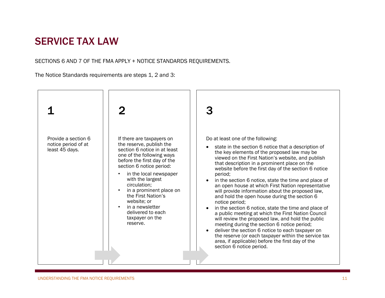#### <span id="page-11-0"></span>SERVICE TAX LAW

SECTIONS 6 AND 7 OF THE FMA APPLY + NOTICE STANDARDS REQUIREMENTS.

The Notice Standards requirements are steps 1, 2 and 3:

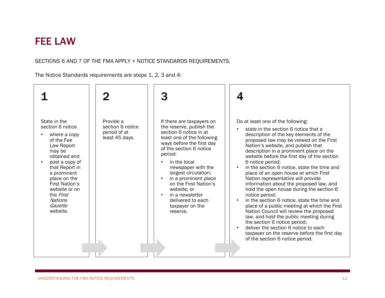#### <span id="page-12-0"></span>FEE LAW

#### SECTIONS 6 AND 7 OF THE FMA APPLY + NOTICE STANDARDS REQUIREMENTS.

The Notice Standards requirements are steps 1, 2, 3 and 4:

| State in the<br>section 6 notice<br>where a copy<br>of the Fee<br>Law Report<br>may be<br>obtained and<br>post a copy of<br>that Report in<br>a prominent<br>place on the<br><b>First Nation's</b><br>website or on<br>the <i>First</i><br>Nations<br>Gazette<br>website. | Provide a<br>section 6 notice<br>period of at<br>least 45 days. | If there are taxpayers on<br>the reserve, publish the<br>section 6 notice in at<br>least one of the following<br>ways before the first day<br>of the section 6 notice<br>period:<br>in the local<br>newspaper with the<br>largest circulation;<br>in a prominent place<br>on the First Nation's<br>website; or<br>in a newsletter<br>$\bullet$<br>delivered to each<br>taxpayer on the<br>reserve. | Do at least one of the following:<br>state in the section 6 notice that a<br>description of the key elements of the<br>proposed law may be viewed on the First<br>Nation's website, and publish that<br>description in a prominent place on the<br>website before the first day of the section<br>6 notice period;<br>in the section 6 notice, state the time and<br>place of an open house at which First<br>Nation representative will provide<br>information about the proposed law, and<br>hold the open house during the section 6<br>notice period;<br>in the section 6 notice, state the time and<br>place of a public meeting at which the First<br>Nation Council will review the proposed<br>law, and hold the public meeting during<br>the section 6 notice period;<br>deliver the section 6 notice to each<br>taxpayer on the reserve before the first day<br>of the section 6 notice period. |
|---------------------------------------------------------------------------------------------------------------------------------------------------------------------------------------------------------------------------------------------------------------------------|-----------------------------------------------------------------|----------------------------------------------------------------------------------------------------------------------------------------------------------------------------------------------------------------------------------------------------------------------------------------------------------------------------------------------------------------------------------------------------|-----------------------------------------------------------------------------------------------------------------------------------------------------------------------------------------------------------------------------------------------------------------------------------------------------------------------------------------------------------------------------------------------------------------------------------------------------------------------------------------------------------------------------------------------------------------------------------------------------------------------------------------------------------------------------------------------------------------------------------------------------------------------------------------------------------------------------------------------------------------------------------------------------------|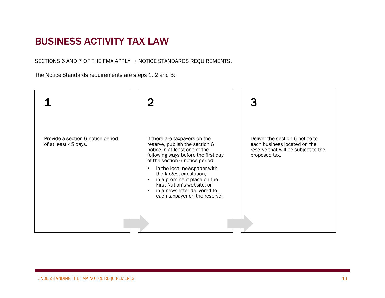#### <span id="page-13-0"></span>BUSINESS ACTIVITY TAX LAW

SECTIONS 6 AND 7 OF THE FMA APPLY + NOTICE STANDARDS REQUIREMENTS.

The Notice Standards requirements are steps 1, 2 and 3: